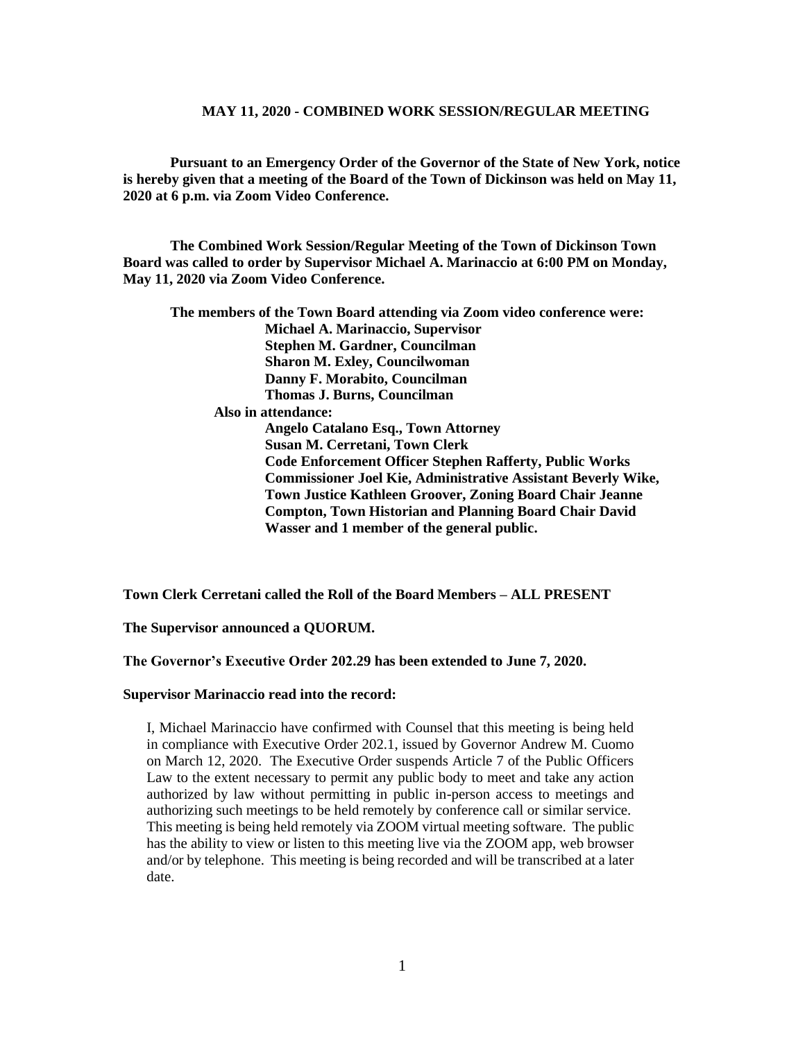**Pursuant to an Emergency Order of the Governor of the State of New York, notice is hereby given that a meeting of the Board of the Town of Dickinson was held on May 11, 2020 at 6 p.m. via Zoom Video Conference.**

**The Combined Work Session/Regular Meeting of the Town of Dickinson Town Board was called to order by Supervisor Michael A. Marinaccio at 6:00 PM on Monday, May 11, 2020 via Zoom Video Conference.**

**The members of the Town Board attending via Zoom video conference were: Michael A. Marinaccio, Supervisor Stephen M. Gardner, Councilman Sharon M. Exley, Councilwoman Danny F. Morabito, Councilman Thomas J. Burns, Councilman Also in attendance: Angelo Catalano Esq., Town Attorney Susan M. Cerretani, Town Clerk Code Enforcement Officer Stephen Rafferty, Public Works Commissioner Joel Kie, Administrative Assistant Beverly Wike, Town Justice Kathleen Groover, Zoning Board Chair Jeanne Compton, Town Historian and Planning Board Chair David Wasser and 1 member of the general public.**

**Town Clerk Cerretani called the Roll of the Board Members – ALL PRESENT**

**The Supervisor announced a QUORUM.**

**The Governor's Executive Order 202.29 has been extended to June 7, 2020.**

#### **Supervisor Marinaccio read into the record:**

I, Michael Marinaccio have confirmed with Counsel that this meeting is being held in compliance with Executive Order 202.1, issued by Governor Andrew M. Cuomo on March 12, 2020. The Executive Order suspends Article 7 of the Public Officers Law to the extent necessary to permit any public body to meet and take any action authorized by law without permitting in public in-person access to meetings and authorizing such meetings to be held remotely by conference call or similar service. This meeting is being held remotely via ZOOM virtual meeting software. The public has the ability to view or listen to this meeting live via the ZOOM app, web browser and/or by telephone. This meeting is being recorded and will be transcribed at a later date.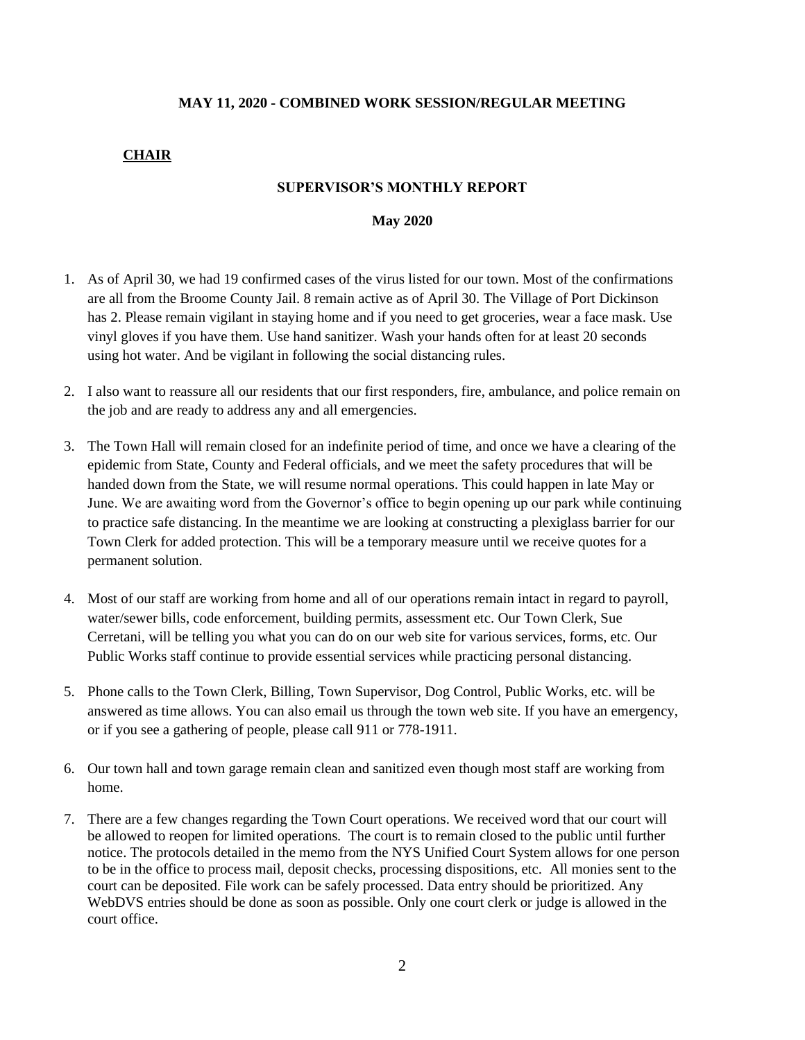### **CHAIR**

### **SUPERVISOR'S MONTHLY REPORT**

#### **May 2020**

- 1. As of April 30, we had 19 confirmed cases of the virus listed for our town. Most of the confirmations are all from the Broome County Jail. 8 remain active as of April 30. The Village of Port Dickinson has 2. Please remain vigilant in staying home and if you need to get groceries, wear a face mask. Use vinyl gloves if you have them. Use hand sanitizer. Wash your hands often for at least 20 seconds using hot water. And be vigilant in following the social distancing rules.
- 2. I also want to reassure all our residents that our first responders, fire, ambulance, and police remain on the job and are ready to address any and all emergencies.
- 3. The Town Hall will remain closed for an indefinite period of time, and once we have a clearing of the epidemic from State, County and Federal officials, and we meet the safety procedures that will be handed down from the State, we will resume normal operations. This could happen in late May or June. We are awaiting word from the Governor's office to begin opening up our park while continuing to practice safe distancing. In the meantime we are looking at constructing a plexiglass barrier for our Town Clerk for added protection. This will be a temporary measure until we receive quotes for a permanent solution.
- 4. Most of our staff are working from home and all of our operations remain intact in regard to payroll, water/sewer bills, code enforcement, building permits, assessment etc. Our Town Clerk, Sue Cerretani, will be telling you what you can do on our web site for various services, forms, etc. Our Public Works staff continue to provide essential services while practicing personal distancing.
- 5. Phone calls to the Town Clerk, Billing, Town Supervisor, Dog Control, Public Works, etc. will be answered as time allows. You can also email us through the town web site. If you have an emergency, or if you see a gathering of people, please call 911 or 778-1911.
- 6. Our town hall and town garage remain clean and sanitized even though most staff are working from home.
- 7. There are a few changes regarding the Town Court operations. We received word that our court will be allowed to reopen for limited operations. The court is to remain closed to the public until further notice. The protocols detailed in the memo from the NYS Unified Court System allows for one person to be in the office to process mail, deposit checks, processing dispositions, etc. All monies sent to the court can be deposited. File work can be safely processed. Data entry should be prioritized. Any WebDVS entries should be done as soon as possible. Only one court clerk or judge is allowed in the court office.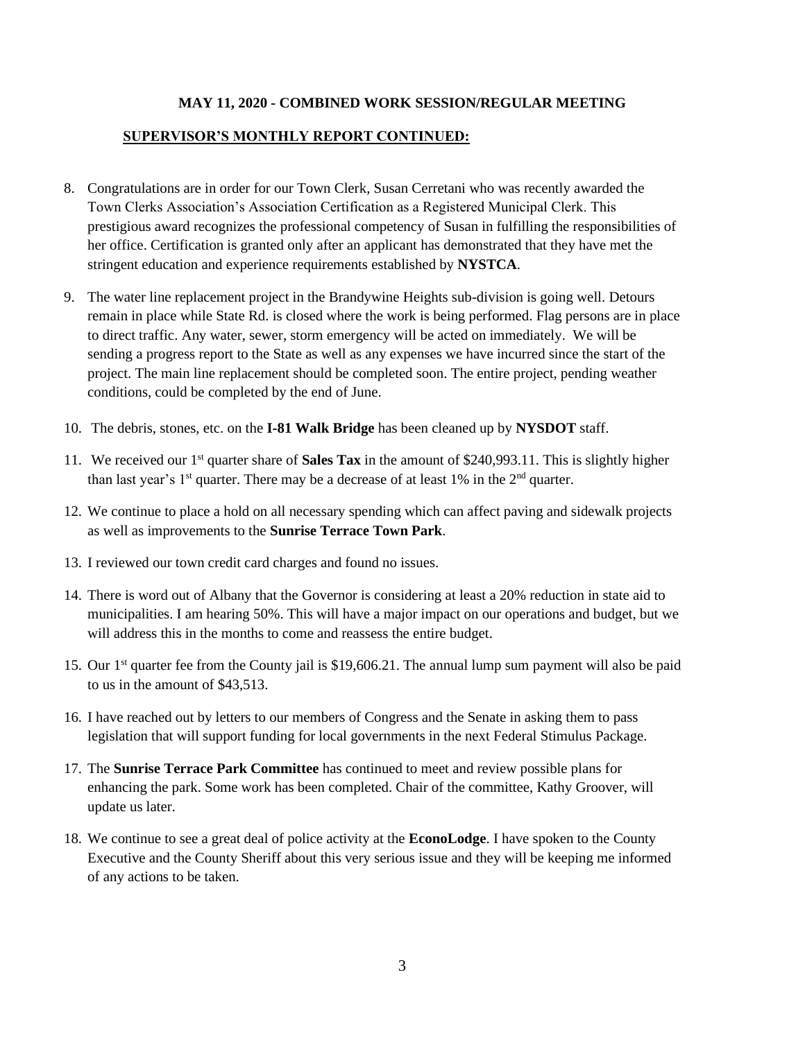# **SUPERVISOR'S MONTHLY REPORT CONTINUED:**

- 8. Congratulations are in order for our Town Clerk, Susan Cerretani who was recently awarded the Town Clerks Association's Association Certification as a Registered Municipal Clerk. This prestigious award recognizes the professional competency of Susan in fulfilling the responsibilities of her office. Certification is granted only after an applicant has demonstrated that they have met the stringent education and experience requirements established by **NYSTCA**.
- 9. The water line replacement project in the Brandywine Heights sub-division is going well. Detours remain in place while State Rd. is closed where the work is being performed. Flag persons are in place to direct traffic. Any water, sewer, storm emergency will be acted on immediately. We will be sending a progress report to the State as well as any expenses we have incurred since the start of the project. The main line replacement should be completed soon. The entire project, pending weather conditions, could be completed by the end of June.
- 10. The debris, stones, etc. on the **I-81 Walk Bridge** has been cleaned up by **NYSDOT** staff.
- 11. We received our 1st quarter share of **Sales Tax** in the amount of \$240,993.11. This is slightly higher than last year's  $1<sup>st</sup>$  quarter. There may be a decrease of at least 1% in the  $2<sup>nd</sup>$  quarter.
- 12. We continue to place a hold on all necessary spending which can affect paving and sidewalk projects as well as improvements to the **Sunrise Terrace Town Park**.
- 13. I reviewed our town credit card charges and found no issues.
- 14. There is word out of Albany that the Governor is considering at least a 20% reduction in state aid to municipalities. I am hearing 50%. This will have a major impact on our operations and budget, but we will address this in the months to come and reassess the entire budget.
- 15. Our 1st quarter fee from the County jail is \$19,606.21. The annual lump sum payment will also be paid to us in the amount of \$43,513.
- 16. I have reached out by letters to our members of Congress and the Senate in asking them to pass legislation that will support funding for local governments in the next Federal Stimulus Package.
- 17. The **Sunrise Terrace Park Committee** has continued to meet and review possible plans for enhancing the park. Some work has been completed. Chair of the committee, Kathy Groover, will update us later.
- 18. We continue to see a great deal of police activity at the **EconoLodge**. I have spoken to the County Executive and the County Sheriff about this very serious issue and they will be keeping me informed of any actions to be taken.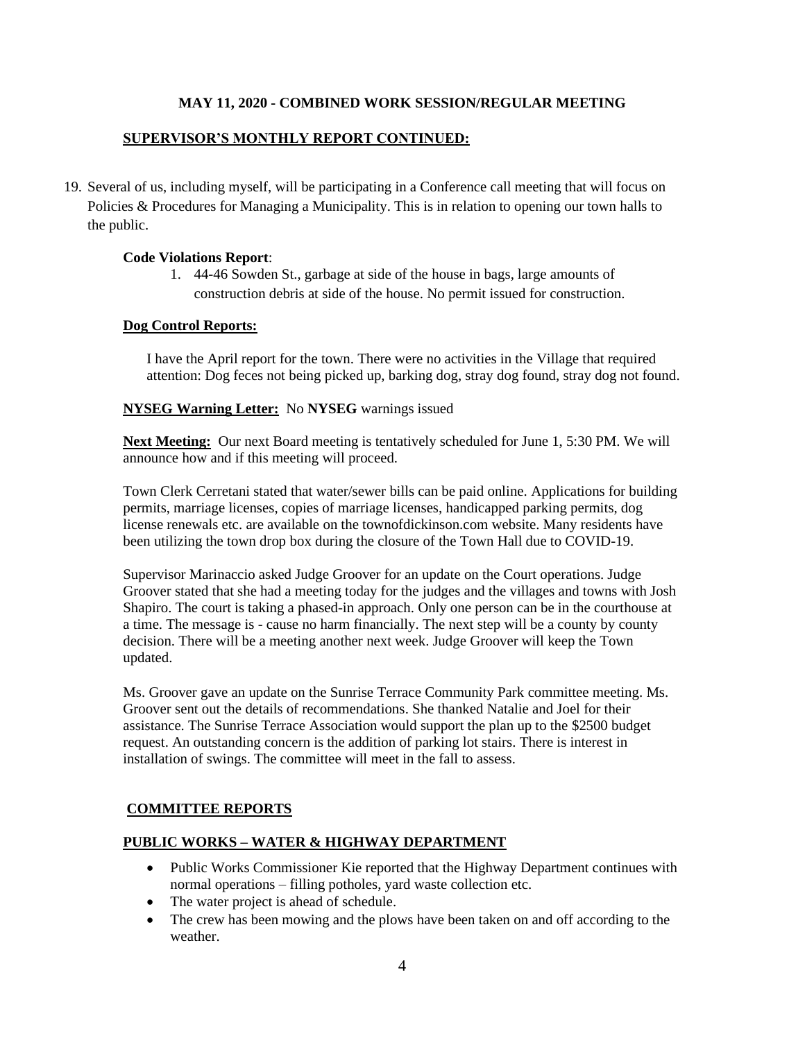# **SUPERVISOR'S MONTHLY REPORT CONTINUED:**

19. Several of us, including myself, will be participating in a Conference call meeting that will focus on Policies & Procedures for Managing a Municipality. This is in relation to opening our town halls to the public.

### **Code Violations Report**:

1. 44-46 Sowden St., garbage at side of the house in bags, large amounts of construction debris at side of the house. No permit issued for construction.

### **Dog Control Reports:**

I have the April report for the town. There were no activities in the Village that required attention: Dog feces not being picked up, barking dog, stray dog found, stray dog not found.

### **NYSEG Warning Letter:** No **NYSEG** warnings issued

**Next Meeting:** Our next Board meeting is tentatively scheduled for June 1, 5:30 PM. We will announce how and if this meeting will proceed.

Town Clerk Cerretani stated that water/sewer bills can be paid online. Applications for building permits, marriage licenses, copies of marriage licenses, handicapped parking permits, dog license renewals etc. are available on the townofdickinson.com website. Many residents have been utilizing the town drop box during the closure of the Town Hall due to COVID-19.

Supervisor Marinaccio asked Judge Groover for an update on the Court operations. Judge Groover stated that she had a meeting today for the judges and the villages and towns with Josh Shapiro. The court is taking a phased-in approach. Only one person can be in the courthouse at a time. The message is - cause no harm financially. The next step will be a county by county decision. There will be a meeting another next week. Judge Groover will keep the Town updated.

Ms. Groover gave an update on the Sunrise Terrace Community Park committee meeting. Ms. Groover sent out the details of recommendations. She thanked Natalie and Joel for their assistance. The Sunrise Terrace Association would support the plan up to the \$2500 budget request. An outstanding concern is the addition of parking lot stairs. There is interest in installation of swings. The committee will meet in the fall to assess.

# **COMMITTEE REPORTS**

### **PUBLIC WORKS – WATER & HIGHWAY DEPARTMENT**

- Public Works Commissioner Kie reported that the Highway Department continues with normal operations – filling potholes, yard waste collection etc.
- The water project is ahead of schedule.
- The crew has been mowing and the plows have been taken on and off according to the weather.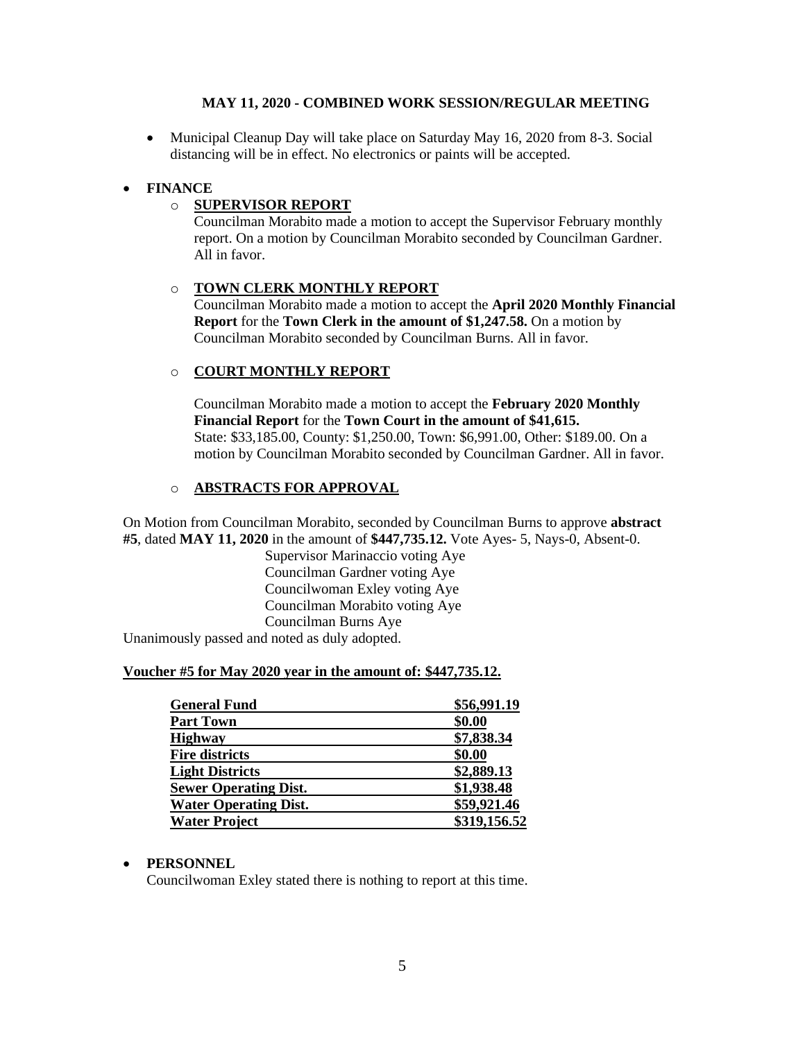• Municipal Cleanup Day will take place on Saturday May 16, 2020 from 8-3. Social distancing will be in effect. No electronics or paints will be accepted.

# • **FINANCE**

# o **SUPERVISOR REPORT**

Councilman Morabito made a motion to accept the Supervisor February monthly report. On a motion by Councilman Morabito seconded by Councilman Gardner. All in favor.

# o **TOWN CLERK MONTHLY REPORT**

Councilman Morabito made a motion to accept the **April 2020 Monthly Financial Report** for the **Town Clerk in the amount of \$1,247.58.** On a motion by Councilman Morabito seconded by Councilman Burns. All in favor.

# o **COURT MONTHLY REPORT**

Councilman Morabito made a motion to accept the **February 2020 Monthly Financial Report** for the **Town Court in the amount of \$41,615.** State: \$33,185.00, County: \$1,250.00, Town: \$6,991.00, Other: \$189.00. On a motion by Councilman Morabito seconded by Councilman Gardner. All in favor.

# o **ABSTRACTS FOR APPROVAL**

On Motion from Councilman Morabito, seconded by Councilman Burns to approve **abstract #5**, dated **MAY 11, 2020** in the amount of **\$447,735.12.** Vote Ayes- 5, Nays-0, Absent-0.

Supervisor Marinaccio voting Aye Councilman Gardner voting Aye Councilwoman Exley voting Aye Councilman Morabito voting Aye Councilman Burns Aye

Unanimously passed and noted as duly adopted.

### **Voucher #5 for May 2020 year in the amount of: \$447,735.12.**

| <b>General Fund</b>          | \$56,991.19  |
|------------------------------|--------------|
| <b>Part Town</b>             | \$0.00       |
| <b>Highway</b>               | \$7,838.34   |
| <b>Fire districts</b>        | \$0.00       |
| <b>Light Districts</b>       | \$2,889.13   |
| <b>Sewer Operating Dist.</b> | \$1,938.48   |
| <b>Water Operating Dist.</b> | \$59,921.46  |
| <b>Water Project</b>         | \$319,156.52 |

### • **PERSONNEL**

Councilwoman Exley stated there is nothing to report at this time.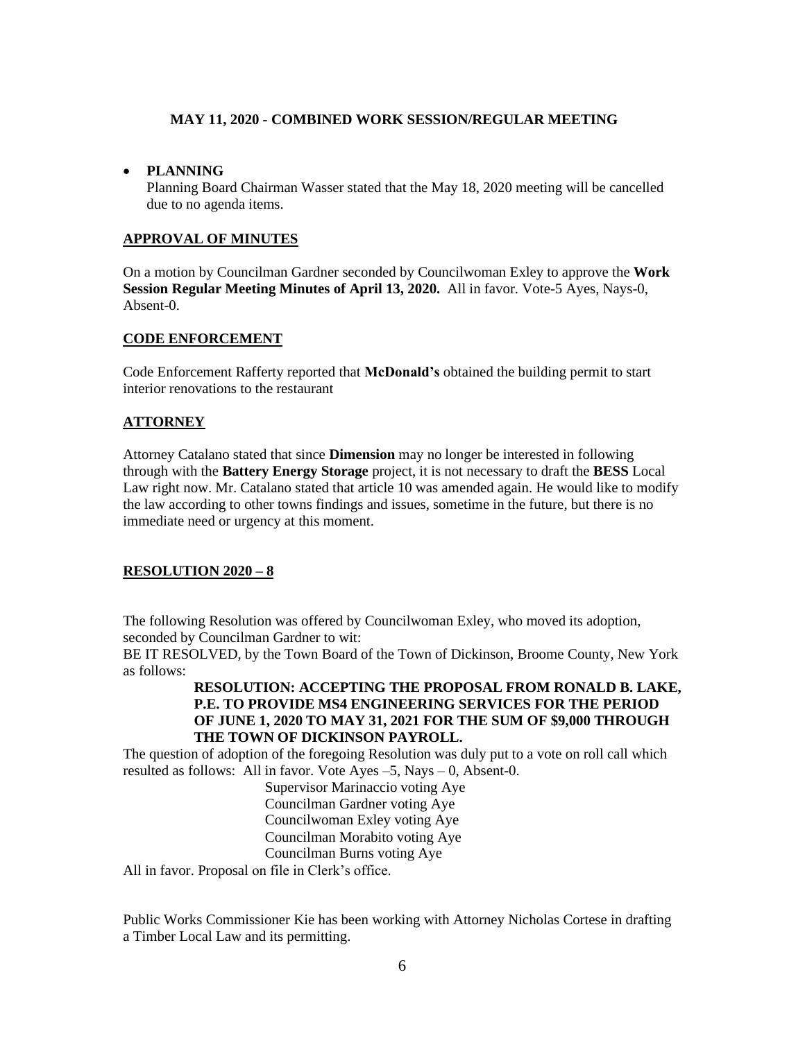### • **PLANNING**

Planning Board Chairman Wasser stated that the May 18, 2020 meeting will be cancelled due to no agenda items.

### **APPROVAL OF MINUTES**

On a motion by Councilman Gardner seconded by Councilwoman Exley to approve the **Work Session Regular Meeting Minutes of April 13, 2020.** All in favor. Vote-5 Ayes, Nays-0, Absent-0.

### **CODE ENFORCEMENT**

Code Enforcement Rafferty reported that **McDonald's** obtained the building permit to start interior renovations to the restaurant

### **ATTORNEY**

Attorney Catalano stated that since **Dimension** may no longer be interested in following through with the **Battery Energy Storage** project, it is not necessary to draft the **BESS** Local Law right now. Mr. Catalano stated that article 10 was amended again. He would like to modify the law according to other towns findings and issues, sometime in the future, but there is no immediate need or urgency at this moment.

### **RESOLUTION 2020 – 8**

The following Resolution was offered by Councilwoman Exley, who moved its adoption, seconded by Councilman Gardner to wit:

BE IT RESOLVED, by the Town Board of the Town of Dickinson, Broome County, New York as follows:

# **RESOLUTION: ACCEPTING THE PROPOSAL FROM RONALD B. LAKE, P.E. TO PROVIDE MS4 ENGINEERING SERVICES FOR THE PERIOD OF JUNE 1, 2020 TO MAY 31, 2021 FOR THE SUM OF \$9,000 THROUGH THE TOWN OF DICKINSON PAYROLL.**

The question of adoption of the foregoing Resolution was duly put to a vote on roll call which resulted as follows: All in favor. Vote Ayes –5, Nays – 0, Absent-0.

> Supervisor Marinaccio voting Aye Councilman Gardner voting Aye Councilwoman Exley voting Aye Councilman Morabito voting Aye Councilman Burns voting Aye

All in favor. Proposal on file in Clerk's office.

Public Works Commissioner Kie has been working with Attorney Nicholas Cortese in drafting a Timber Local Law and its permitting.